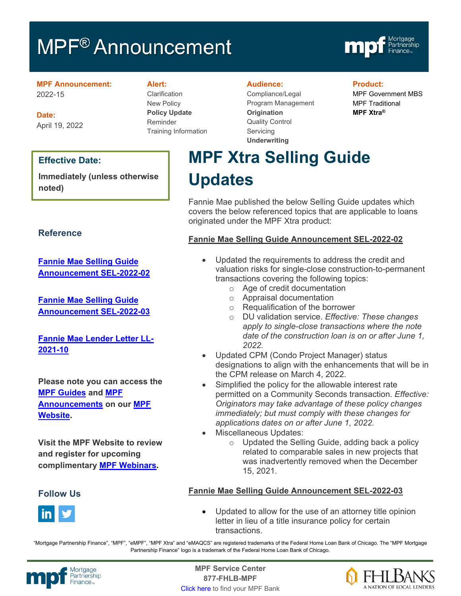# MPF<sup>®</sup> Announcement



**MPF Announcement:** 2022-15

**Date:** April 19, 2022

#### **Effective Date:**

**Immediately (unless otherwise noted)**

#### **Reference**

**[Fannie Mae Selling Guide](https://singlefamily.fanniemae.com/media/30836/display)  [Announcement SEL-2022-02](https://singlefamily.fanniemae.com/media/30836/display)**

**Fannie Mae [Selling Guide](https://singlefamily.fanniemae.com/media/31151/display)  [Announcement SEL-2022-03](https://singlefamily.fanniemae.com/media/31151/display)**

**[Fannie Mae Lender Letter LL-](https://singlefamily.fanniemae.com/media/25696/display)[2021-10](https://singlefamily.fanniemae.com/media/25696/display)**

**Please note you can access the [MPF Guides](https://fhlbmpf.com/mpf-guides/guides) and [MPF](https://fhlbmpf.com/mpf-guides/announcements)  [Announcements](https://fhlbmpf.com/mpf-guides/announcements) on our [MPF](https://fhlbmpf.com/)  [Website.](https://fhlbmpf.com/)** 

**Visit the MPF Website to review and register for upcoming complimentary [MPF Webinars.](https://www.fhlbmpf.com/education/upcoming-webinars)**

#### **Follow Us**



#### **Alert:**

Clarification New Policy **Policy Update** Reminder Training Information

#### **Audience:**

Compliance/Legal Program Management **Origination**  Quality Control **Servicing Underwriting**

#### **Product:**

MPF Government MBS MPF Traditional **MPF Xtra®**

# **MPF Xtra Selling Guide Updates**

Fannie Mae published the below Selling Guide updates which covers the below referenced topics that are applicable to loans originated under the MPF Xtra product:

#### **Fannie Mae Selling Guide Announcement SEL-2022-02**

- Updated the requirements to address the credit and valuation risks for single-close construction-to-permanent transactions covering the following topics:
	- o Age of credit documentation
	- o Appraisal documentation
	- o Requalification of the borrower
	- o DU validation service. *Effective: These changes apply to single-close transactions where the note date of the construction loan is on or after June 1, 2022.*
- Updated CPM (Condo Project Manager) status designations to align with the enhancements that will be in the CPM release on March 4, 2022.
- Simplified the policy for the allowable interest rate permitted on a Community Seconds transaction. *Effective: Originators may take advantage of these policy changes immediately; but must comply with these changes for applications dates on or after June 1, 2022.*
- Miscellaneous Updates:
	- $\circ$  Updated the Selling Guide, adding back a policy related to comparable sales in new projects that was inadvertently removed when the December 15, 2021.

#### **Fannie Mae Selling Guide Announcement SEL-2022-03**

• Updated to allow for the use of an attorney title opinion letter in lieu of a title insurance policy for certain transactions.

"Mortgage Partnership Finance", "MPF", "eMPF", "MPF Xtra" and "eMAQCS" are registered trademarks of the Federal Home Loan Bank of Chicago. The "MPF Mortgage Partnership Finance" logo is a trademark of the Federal Home Loan Bank of Chicago.



Mortgage **Center Service Center**<br>Partnership **Canadian Center Service Center**<br> **Partnership CALL SANGE CANADIAN CENTER SERVICE PROPERTY 877-FHLB-MPF** [Click here](https://www.fhlbmpf.com/fhlbanks/fhlbanks) to find your MPF Bank

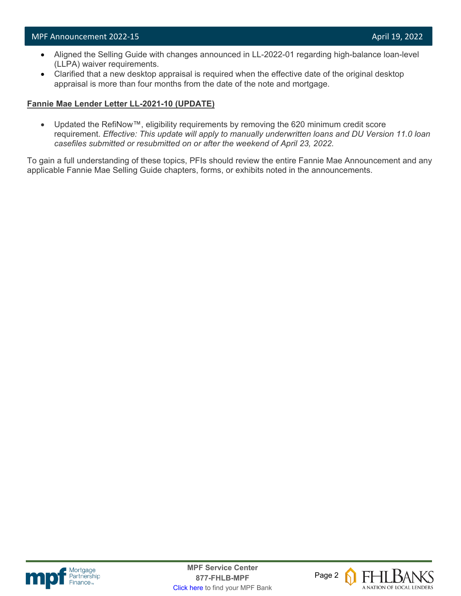- Aligned the Selling Guide with changes announced in LL-2022-01 regarding high-balance loan-level (LLPA) waiver requirements.
- Clarified that a new desktop appraisal is required when the effective date of the original desktop appraisal is more than four months from the date of the note and mortgage.

#### **Fannie Mae Lender Letter LL-2021-10 (UPDATE)**

• Updated the RefiNow™, eligibility requirements by removing the 620 minimum credit score requirement. *Effective: This update will apply to manually underwritten loans and DU Version 11.0 loan casefiles submitted or resubmitted on or after the weekend of April 23, 2022.*

To gain a full understanding of these topics, PFIs should review the entire Fannie Mae Announcement and any applicable Fannie Mae Selling Guide chapters, forms, or exhibits noted in the announcements.



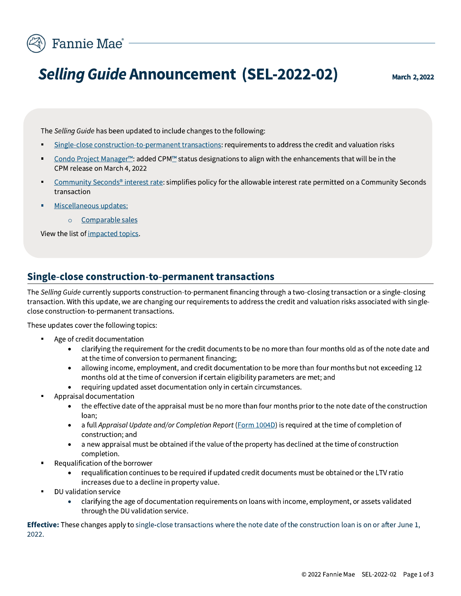

The Selling Guide has been updated to include changes to the following:

- Ingle-close construction-to-permanent transactions: requirements to address the credit and valuation risks
- $\blacksquare$  Condo Project Manager  $\mathbb{R}$  added CPM $\mathbb{R}$  status designations to align with the enhancements that will be in the CPM release on March 4, 2022
- <p>• <b>Hamiltonian</b> <b>Example 1</b> <b>Example 2022-02</b></p>\n<p>• <b>Marko</b>, 2, 2022</p>\n<p>• <b>Method 322-02</b></p>\n<p>The <i>Selling Guide has been updated to include changes to the following:</i></p>\n<p>• <b>Single-close construction-to-permanent transactions: requirements to address the credit and valuation risks:</b></p>\n<p>• <b>Cond: Project Manager</b> ": added CPM" status design with the enhancement that will be in the CPM release on March 4, 2022</p>\n<p>• <b>Commanity Seconds' interest rate: Simplifies policy for the allowable interest rate permitted on a Community Second standard deviation.</b></p>\n<p>• < Community Seconds<sup>®</sup> interest rate: simplifies policy for the allowable interest rate permitted on a Community Seconds transaction
- <u>• Miscellaneous updates:</u>
	- o Comparable sales

View the list of impacted topics.

#### Single-close construction-to-permanent transactions

The Selling Guide currently supports construction-to-permanent financing through a two-closing transaction or a single-closing transaction. With this update, we are changing our requirements to address the credit and valuation risks associated with singleclose construction-to-permanent transactions.

These updates cover the following topics:

- **Age of credit documentation** 
	- clarifying the requirement for the credit documents to be no more than four months old as of the note date and at the time of conversion to permanent financing;
	- allowing income, employment, and credit documentation to be more than four months but not exceeding 12 months old at the time of conversion if certain eligibility parameters are met; and
	- requiring updated asset documentation only in certain circumstances.
- Appraisal documentation
	- the effective date of the appraisal must be no more than four months prior to the note date of the construction loan:
	- a full Appraisal Update and/or Completion Report (Form  $1004D$ ) is required at the time of completion of construction; and
	- $\bullet$  a new appraisal must be obtained if the value of the property has declined at the time of construction completion.
- Requalification of the borrower
	- requalification continues to be required if updated credit documents must be obtained or the LTV ratio increases due to a decline in property value.
- DU validation service
	- clarifying the age of documentation requirements on loans with income, employment, or assets validated through the DU validation service.

**Effective:** These changes apply to single-close transactions where the note date of the construction loan is on or after June 1, 2022.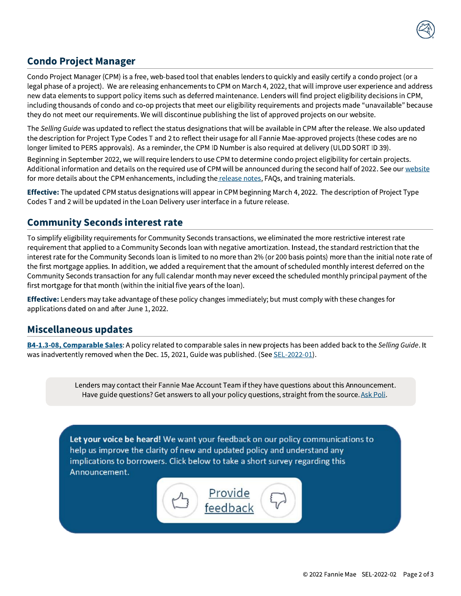

### **Condo Project Manager**

Condo Project Manager (CPM) is a free, web-based tool that enables lenders to quickly and easily certify a condo project (or a legal phase of a project). We are releasing enhancements to CPM on March 4, 2022, that will improve user experience and address new data elements to support policy items such as deferred maintenance. Lenders will find project eligibility decisions in CPM, including thousands of condo and co-op projects that meet our eligibility requirements and projects made "unavailable" because they do not meet our requirements. We will discontinue publishing the list of approved projects on our website.

The Selling Guide was updated to reflect the status designations that will be available in CPM after the release. We also updated the description for Project Type Codes T and 2 to reflect their usage for all Fannie Mae-approved projects (these codes are no longer limited to PERS approvals). As a reminder, the CPM ID Number is also required at delivery (ULDD SORT ID 39).

Beginning in September 2022, we will require lenders to use CPM to determine condo project eligibility for certain projects. Additional information and details on the required use of CPM will be announced during the second half of 2022. See our website for more details about the CPM enhancements, including the release notes, FAQs, and training materials.

Effective: The updated CPM status designations will appear in CPM beginning March 4, 2022. The description of Project Type Codes T and 2 will be updated in the Loan Delivery user interface in a future release.

#### **Community Seconds interest rate**

To simplify eligibility requirements for Community Seconds transactions, we eliminated the more restrictive interest rate requirement that applied to a Community Seconds loan with negative amortization. Instead, the standard restriction that the interest rate for the Community Seconds loan is limited to no more than 2% (or 200 basis points) more than the initial note rate of the first mortgage applies. In addition, we added a requirement that the amount of scheduled monthly interest deferred on the Community Seconds transaction for any full calendar month may never exceed the scheduled monthly principal payment of the first mortgage for that month (within the initial five years of the loan).

Effective: Lenders may take advantage of these policy changes immediately; but must comply with these changes for applications dated on and after June 1, 2022.

#### **Miscellaneous updates**

B4-1.3-08, Comparable Sales: A policy related to comparable sales in new projects has been added back to the Selling Guide. It was inadvertently removed when the Dec. 15, 2021, Guide was published. (See SEL-2022-01).

> Lenders may contact their Fannie Mae Account Team if they have questions about this Announcement. Have guide questions? Get answers to all your policy questions, straight from the source. Ask Poli.

Let your voice be heard! We want your feedback on our policy communications to help us improve the clarity of new and updated policy and understand any implications to borrowers. Click below to take a short survey regarding this Announcement.

> <u>Provide</u> feedback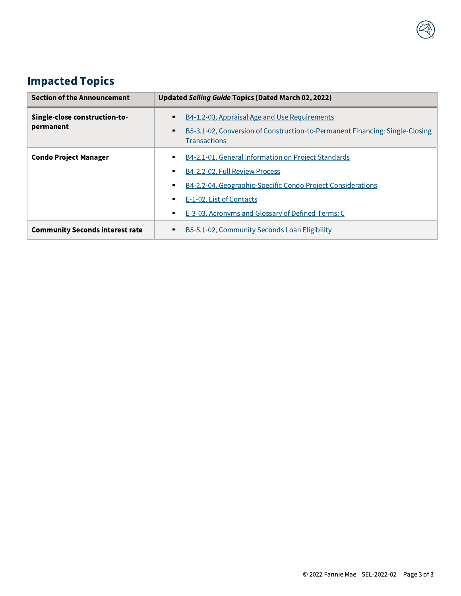# **Impacted Topics**

| <b>Section of the Announcement</b>         | Updated Selling Guide Topics (Dated March 02, 2022)                                                                                                                                                                                   |
|--------------------------------------------|---------------------------------------------------------------------------------------------------------------------------------------------------------------------------------------------------------------------------------------|
| Single-close construction-to-<br>permanent | B4-1.2-03, Appraisal Age and Use Requirements<br>B5-3.1-02, Conversion of Construction-to-Permanent Financing: Single-Closing<br><b>Transactions</b>                                                                                  |
| <b>Condo Project Manager</b>               | B4-2.1-01, General Information on Project Standards<br>B4-2.2-02, Full Review Process<br>B4-2.2-04, Geographic-Specific Condo Project Considerations<br>E-1-02, List of Contacts<br>E-3-03, Acronyms and Glossary of Defined Terms: C |
| <b>Community Seconds interest rate</b>     | B5-5.1-02, Community Seconds Loan Eligibility<br>٠                                                                                                                                                                                    |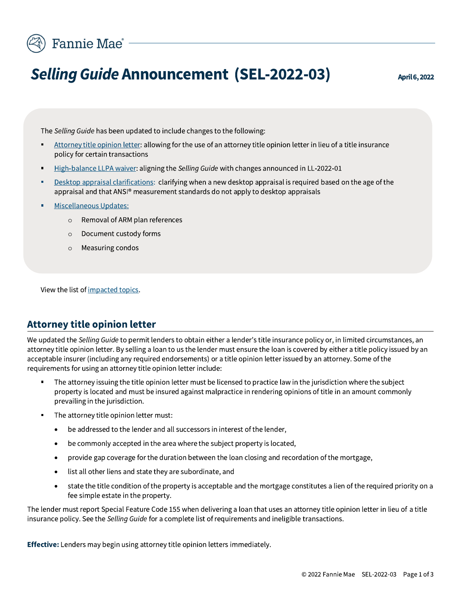

# **Selling Guide Announcement (SEL-2022-03)**

April 6, 2022

The Selling Guide has been updated to include changes to the following:

- Attorney title opinion letter: allowing for the use of an attorney title opinion letter in lieu of a title insurance  $\blacksquare$ policy for certain transactions
- High-balance LLPA waiver: aligning the Selling Guide with changes announced in LL-2022-01
- Desktop appraisal clarifications: clarifying when a new desktop appraisal is required based on the age of the appraisal and that ANSI® measurement standards do not apply to desktop appraisals
- **Miscellaneous Updates:** 
	- o Removal of ARM plan references
	- Document custody forms  $\circ$
	- Measuring condos  $\circ$

View the list of impacted topics.

#### **Attorney title opinion letter**

We updated the Selling Guide to permit lenders to obtain either a lender's title insurance policy or, in limited circumstances, an attorney title opinion letter. By selling a loan to us the lender must ensure the loan is covered by either a title policy issued by an acceptable insurer (including any required endorsements) or a title opinion letter issued by an attorney. Some of the requirements for using an attorney title opinion letter include:

- The attorney issuing the title opinion letter must be licensed to practice law in the jurisdiction where the subject property is located and must be insured against malpractice in rendering opinions of title in an amount commonly prevailing in the jurisdiction.
- The attorney title opinion letter must:  $\blacksquare$ 
	- be addressed to the lender and all successors in interest of the lender,
	- be commonly accepted in the area where the subject property is located,  $\bullet$
	- provide gap coverage for the duration between the loan closing and recordation of the mortgage,
	- list all other liens and state they are subordinate, and
	- state the title condition of the property is acceptable and the mortgage constitutes a lien of the required priority on a fee simple estate in the property.

The lender must report Special Feature Code 155 when delivering a loan that uses an attorney title opinion letter in lieu of a title insurance policy. See the Selling Guide for a complete list of requirements and ineligible transactions.

Effective: Lenders may begin using attorney title opinion letters immediately.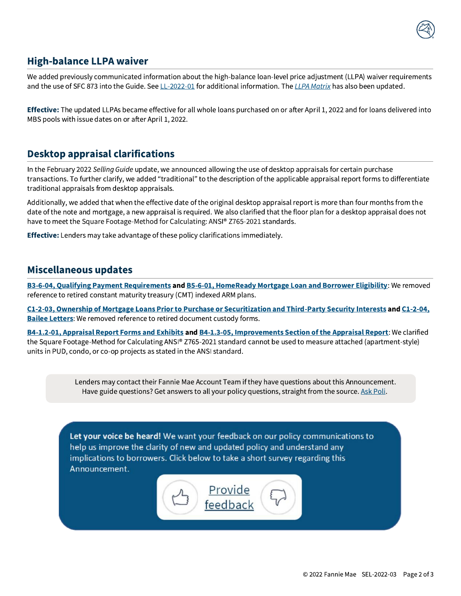

#### **High-balance LLPA waiver**

We added previously communicated information about the high-balance loan-level price adjustment (LLPA) waiver requirements and the use of SFC 873 into the Guide. See LL-2022-01 for additional information. The LLPA Matrix has also been updated.

Effective: The updated LLPAs became effective for all whole loans purchased on or after April 1, 2022 and for loans delivered into MBS pools with issue dates on or after April 1, 2022.

#### **Desktop appraisal clarifications**

In the February 2022 Selling Guide update, we announced allowing the use of desktop appraisals for certain purchase transactions. To further clarify, we added "traditional" to the description of the applicable appraisal report forms to differentiate traditional appraisals from desktop appraisals.

Additionally, we added that when the effective date of the original desktop appraisal report is more than four months from the date of the note and mortgage, a new appraisal is required. We also clarified that the floor plan for a desktop appraisal does not have to meet the Square Footage-Method for Calculating: ANSI® Z765-2021 standards.

Effective: Lenders may take advantage of these policy clarifications immediately.

#### Miscellaneous updates

B3-6-04, Qualifying Payment Requirements and B5-6-01, HomeReady Mortgage Loan and Borrower Eligibility: We removed reference to retired constant maturity treasury (CMT) indexed ARM plans.

C1-2-03, Ownership of Mortgage Loans Prior to Purchase or Securitization and Third-Party Security Interests and C1-2-04, **Bailee Letters:** We removed reference to retired document custody forms.

B4-1.2-01, Appraisal Report Forms and Exhibits and B4-1.3-05, Improvements Section of the Appraisal Report: We clarified the Square Footage-Method for Calculating ANSI® Z765-2021 standard cannot be used to measure attached (apartment-style) units in PUD, condo, or co-op projects as stated in the ANSI standard.

> Lenders may contact their Fannie Mae Account Team if they have questions about this Announcement. Have guide questions? Get answers to all your policy questions, straight from the source. Ask Poli.

Let your voice be heard! We want your feedback on our policy communications to help us improve the clarity of new and updated policy and understand any implications to borrowers. Click below to take a short survey regarding this Announcement.

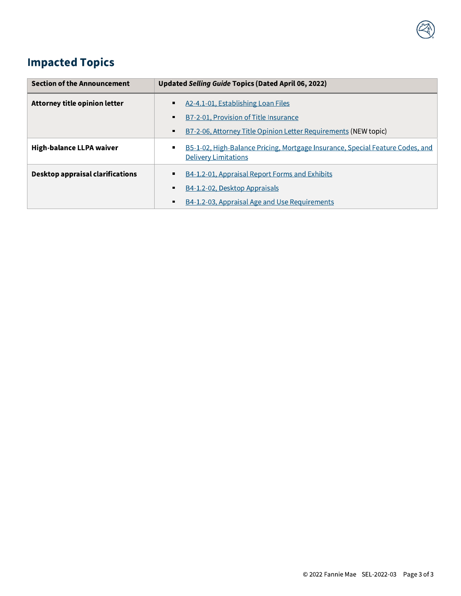

# **Impacted Topics**

| <b>Section of the Announcement</b> | Updated Selling Guide Topics (Dated April 06, 2022)                                                                            |
|------------------------------------|--------------------------------------------------------------------------------------------------------------------------------|
| Attorney title opinion letter      | A <sub>2</sub> -4.1-01, Establishing Loan Files<br>٠.                                                                          |
|                                    | B7-2-01, Provision of Title Insurance<br>$\blacksquare$                                                                        |
|                                    | B7-2-06, Attorney Title Opinion Letter Requirements (NEW topic)<br>$\blacksquare$                                              |
| <b>High-balance LLPA waiver</b>    | B5-1-02, High-Balance Pricing, Mortgage Insurance, Special Feature Codes, and<br>$\blacksquare$<br><b>Delivery Limitations</b> |
| Desktop appraisal clarifications   | B4-1.2-01, Appraisal Report Forms and Exhibits<br>٠.                                                                           |
|                                    | B4-1.2-02, Desktop Appraisals<br>٠                                                                                             |
|                                    | B4-1.2-03, Appraisal Age and Use Requirements<br>٠                                                                             |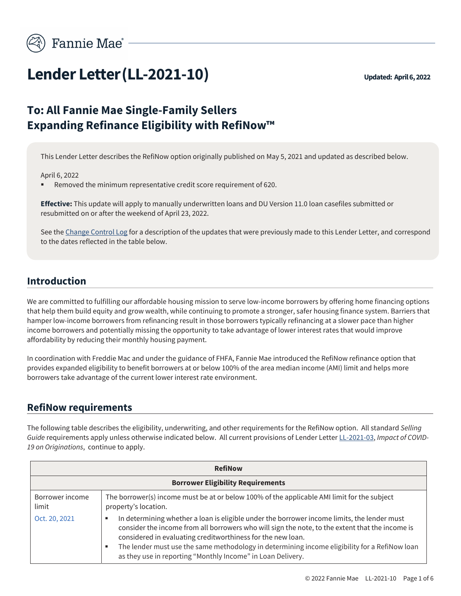

# **Lender Letter (LL-2021-10)** Updated: April 6, 2022

### **To: All Fannie Mae Single-Family Sellers Expanding Refinance Eligibility with RefiNow™**

This Lender Letter describes the RefiNow option originally published on May 5, 2021 and updated as described below.

April 6, 2022

Removed the minimum representative credit score requirement of 620.

**Effective:** This update will apply to manually underwritten loans and DU Version 11.0 loan casefiles submitted or resubmitted on or after the weekend of April 23, 2022.

See the Change Control Log for a description of the updates that were previously made to this Lender Letter, and correspond to the dates reflected in the table below.

#### **Introduction**

We are committed to fulfilling our affordable housing mission to serve low-income borrowers by offering home financing options that help them build equity and grow wealth, while continuing to promote a stronger, safer housing finance system. Barriers that hamper low-income borrowers from refinancing result in those borrowers typically refinancing at a slower pace than higher income borrowers and potentially missing the opportunity to take advantage of lower interest rates that would improve affordability by reducing their monthly housing payment.

In coordination with Freddie Mac and under the guidance of FHFA, Fannie Mae introduced the RefiNow refinance option that provides expanded eligibility to benefit borrowers at or below 100% of the area median income (AMI) limit and helps more borrowers take advantage of the current lower interest rate environment.

#### **RefiNow requirements**

The following table describes the eligibility, underwriting, and other requirements for the RefiNow option. All standard *Selling Guide* requirements apply unless otherwise indicated below. All current provisions of Lender Letter LL-2021-03, *Impact of COVID-19 on Originations*, continue to apply.

| <b>RefiNow</b>                           |                                                                                                                                                                                                                                                                                                                                                                                                                                         |  |
|------------------------------------------|-----------------------------------------------------------------------------------------------------------------------------------------------------------------------------------------------------------------------------------------------------------------------------------------------------------------------------------------------------------------------------------------------------------------------------------------|--|
| <b>Borrower Eligibility Requirements</b> |                                                                                                                                                                                                                                                                                                                                                                                                                                         |  |
| Borrower income<br>limit                 | The borrower(s) income must be at or below 100% of the applicable AMI limit for the subject<br>property's location.                                                                                                                                                                                                                                                                                                                     |  |
| Oct. 20, 2021                            | In determining whether a loan is eligible under the borrower income limits, the lender must<br>٠<br>consider the income from all borrowers who will sign the note, to the extent that the income is<br>considered in evaluating creditworthiness for the new loan.<br>The lender must use the same methodology in determining income eligibility for a RefiNow loan<br>٠<br>as they use in reporting "Monthly Income" in Loan Delivery. |  |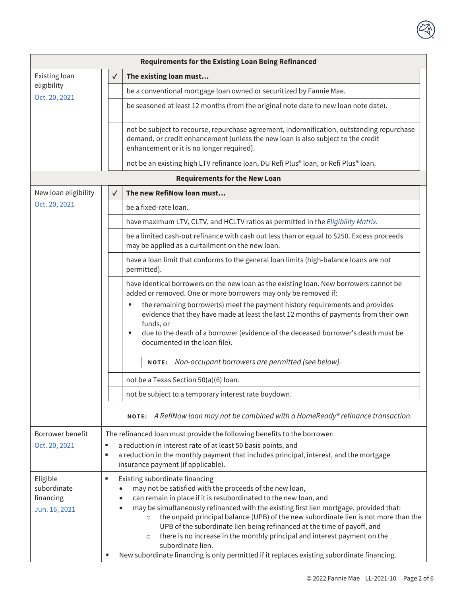| <b>Requirements for the Existing Loan Being Refinanced</b> |                                                                                                                                                                                                                                                                                                                                                                                                                                                                                                                                                                                                                                                           |                                                                                                                                                                                                                                                                                                                                                                                                                                                                     |  |  |
|------------------------------------------------------------|-----------------------------------------------------------------------------------------------------------------------------------------------------------------------------------------------------------------------------------------------------------------------------------------------------------------------------------------------------------------------------------------------------------------------------------------------------------------------------------------------------------------------------------------------------------------------------------------------------------------------------------------------------------|---------------------------------------------------------------------------------------------------------------------------------------------------------------------------------------------------------------------------------------------------------------------------------------------------------------------------------------------------------------------------------------------------------------------------------------------------------------------|--|--|
| Existing loan                                              | $\checkmark$                                                                                                                                                                                                                                                                                                                                                                                                                                                                                                                                                                                                                                              | The existing loan must                                                                                                                                                                                                                                                                                                                                                                                                                                              |  |  |
| eligibility<br>Oct. 20, 2021                               |                                                                                                                                                                                                                                                                                                                                                                                                                                                                                                                                                                                                                                                           | be a conventional mortgage loan owned or securitized by Fannie Mae.                                                                                                                                                                                                                                                                                                                                                                                                 |  |  |
|                                                            |                                                                                                                                                                                                                                                                                                                                                                                                                                                                                                                                                                                                                                                           | be seasoned at least 12 months (from the original note date to new loan note date).                                                                                                                                                                                                                                                                                                                                                                                 |  |  |
|                                                            |                                                                                                                                                                                                                                                                                                                                                                                                                                                                                                                                                                                                                                                           | not be subject to recourse, repurchase agreement, indemnification, outstanding repurchase<br>demand, or credit enhancement (unless the new loan is also subject to the credit<br>enhancement or it is no longer required).                                                                                                                                                                                                                                          |  |  |
|                                                            |                                                                                                                                                                                                                                                                                                                                                                                                                                                                                                                                                                                                                                                           | not be an existing high LTV refinance loan, DU Refi Plus® loan, or Refi Plus® loan.                                                                                                                                                                                                                                                                                                                                                                                 |  |  |
|                                                            |                                                                                                                                                                                                                                                                                                                                                                                                                                                                                                                                                                                                                                                           | <b>Requirements for the New Loan</b>                                                                                                                                                                                                                                                                                                                                                                                                                                |  |  |
| New loan eligibility                                       | $\checkmark$                                                                                                                                                                                                                                                                                                                                                                                                                                                                                                                                                                                                                                              | The new RefiNow loan must                                                                                                                                                                                                                                                                                                                                                                                                                                           |  |  |
| Oct. 20, 2021                                              |                                                                                                                                                                                                                                                                                                                                                                                                                                                                                                                                                                                                                                                           | be a fixed-rate loan.                                                                                                                                                                                                                                                                                                                                                                                                                                               |  |  |
|                                                            |                                                                                                                                                                                                                                                                                                                                                                                                                                                                                                                                                                                                                                                           | have maximum LTV, CLTV, and HCLTV ratios as permitted in the <i>Eligibility Matrix.</i>                                                                                                                                                                                                                                                                                                                                                                             |  |  |
|                                                            |                                                                                                                                                                                                                                                                                                                                                                                                                                                                                                                                                                                                                                                           | be a limited cash-out refinance with cash out less than or equal to \$250. Excess proceeds<br>may be applied as a curtailment on the new loan.                                                                                                                                                                                                                                                                                                                      |  |  |
|                                                            |                                                                                                                                                                                                                                                                                                                                                                                                                                                                                                                                                                                                                                                           | have a loan limit that conforms to the general loan limits (high-balance loans are not<br>permitted).                                                                                                                                                                                                                                                                                                                                                               |  |  |
|                                                            |                                                                                                                                                                                                                                                                                                                                                                                                                                                                                                                                                                                                                                                           | have identical borrowers on the new loan as the existing loan. New borrowers cannot be<br>added or removed. One or more borrowers may only be removed if:<br>the remaining borrower(s) meet the payment history requirements and provides<br>evidence that they have made at least the last 12 months of payments from their own<br>funds, or<br>due to the death of a borrower (evidence of the deceased borrower's death must be<br>documented in the loan file). |  |  |
|                                                            |                                                                                                                                                                                                                                                                                                                                                                                                                                                                                                                                                                                                                                                           | NOTE: Non-occupant borrowers are permitted (see below).                                                                                                                                                                                                                                                                                                                                                                                                             |  |  |
|                                                            |                                                                                                                                                                                                                                                                                                                                                                                                                                                                                                                                                                                                                                                           | not be a Texas Section 50(a)(6) loan.                                                                                                                                                                                                                                                                                                                                                                                                                               |  |  |
|                                                            |                                                                                                                                                                                                                                                                                                                                                                                                                                                                                                                                                                                                                                                           | not be subject to a temporary interest rate buydown.                                                                                                                                                                                                                                                                                                                                                                                                                |  |  |
|                                                            |                                                                                                                                                                                                                                                                                                                                                                                                                                                                                                                                                                                                                                                           | NOTE: A RefiNow loan may not be combined with a HomeReady® refinance transaction.                                                                                                                                                                                                                                                                                                                                                                                   |  |  |
| Borrower benefit                                           |                                                                                                                                                                                                                                                                                                                                                                                                                                                                                                                                                                                                                                                           | The refinanced loan must provide the following benefits to the borrower:                                                                                                                                                                                                                                                                                                                                                                                            |  |  |
| Oct. 20, 2021                                              | a reduction in interest rate of at least 50 basis points, and<br>٠<br>a reduction in the monthly payment that includes principal, interest, and the mortgage<br>٠<br>insurance payment (if applicable).                                                                                                                                                                                                                                                                                                                                                                                                                                                   |                                                                                                                                                                                                                                                                                                                                                                                                                                                                     |  |  |
| Eligible<br>subordinate<br>financing<br>Jun. 16, 2021      | Existing subordinate financing<br>٠<br>may not be satisfied with the proceeds of the new loan,<br>can remain in place if it is resubordinated to the new loan, and<br>may be simultaneously refinanced with the existing first lien mortgage, provided that:<br>the unpaid principal balance (UPB) of the new subordinate lien is not more than the<br>$\circ$<br>UPB of the subordinate lien being refinanced at the time of payoff, and<br>there is no increase in the monthly principal and interest payment on the<br>$\circ$<br>subordinate lien.<br>New subordinate financing is only permitted if it replaces existing subordinate financing.<br>٠ |                                                                                                                                                                                                                                                                                                                                                                                                                                                                     |  |  |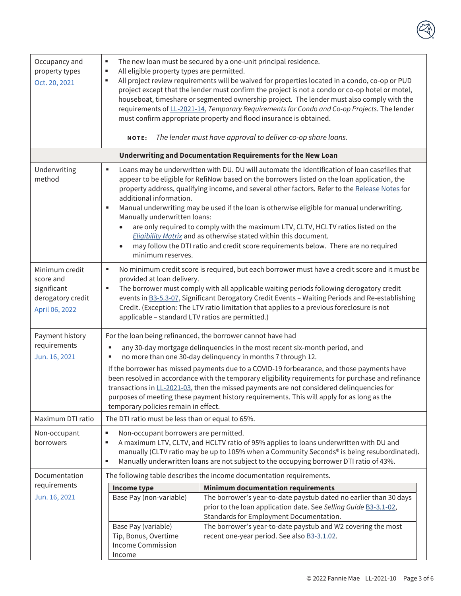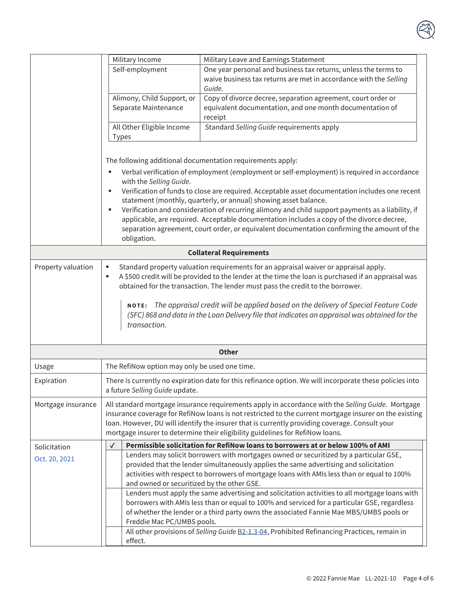|                    | Military Income                                                                                                                                                                                                                                                                                                                                                                                                                                                                                                           | Military Leave and Earnings Statement                                                                                                                                                                                                                                                                                                                                                                                                                                      |  |  |  |  |
|--------------------|---------------------------------------------------------------------------------------------------------------------------------------------------------------------------------------------------------------------------------------------------------------------------------------------------------------------------------------------------------------------------------------------------------------------------------------------------------------------------------------------------------------------------|----------------------------------------------------------------------------------------------------------------------------------------------------------------------------------------------------------------------------------------------------------------------------------------------------------------------------------------------------------------------------------------------------------------------------------------------------------------------------|--|--|--|--|
|                    | Self-employment                                                                                                                                                                                                                                                                                                                                                                                                                                                                                                           | One year personal and business tax returns, unless the terms to<br>waive business tax returns are met in accordance with the Selling<br>Guide.                                                                                                                                                                                                                                                                                                                             |  |  |  |  |
|                    | Alimony, Child Support, or                                                                                                                                                                                                                                                                                                                                                                                                                                                                                                | Copy of divorce decree, separation agreement, court order or                                                                                                                                                                                                                                                                                                                                                                                                               |  |  |  |  |
|                    | Separate Maintenance                                                                                                                                                                                                                                                                                                                                                                                                                                                                                                      | equivalent documentation, and one month documentation of                                                                                                                                                                                                                                                                                                                                                                                                                   |  |  |  |  |
|                    |                                                                                                                                                                                                                                                                                                                                                                                                                                                                                                                           | receipt                                                                                                                                                                                                                                                                                                                                                                                                                                                                    |  |  |  |  |
|                    | All Other Eligible Income<br><b>Types</b>                                                                                                                                                                                                                                                                                                                                                                                                                                                                                 | Standard Selling Guide requirements apply                                                                                                                                                                                                                                                                                                                                                                                                                                  |  |  |  |  |
|                    | The following additional documentation requirements apply:                                                                                                                                                                                                                                                                                                                                                                                                                                                                |                                                                                                                                                                                                                                                                                                                                                                                                                                                                            |  |  |  |  |
|                    |                                                                                                                                                                                                                                                                                                                                                                                                                                                                                                                           | Verbal verification of employment (employment or self-employment) is required in accordance                                                                                                                                                                                                                                                                                                                                                                                |  |  |  |  |
|                    | with the Selling Guide.<br>Verification of funds to close are required. Acceptable asset documentation includes one recent<br>п<br>statement (monthly, quarterly, or annual) showing asset balance.<br>Verification and consideration of recurring alimony and child support payments as a liability, if<br>g,<br>applicable, are required. Acceptable documentation includes a copy of the divorce decree,<br>separation agreement, court order, or equivalent documentation confirming the amount of the<br>obligation. |                                                                                                                                                                                                                                                                                                                                                                                                                                                                            |  |  |  |  |
|                    |                                                                                                                                                                                                                                                                                                                                                                                                                                                                                                                           | <b>Collateral Requirements</b>                                                                                                                                                                                                                                                                                                                                                                                                                                             |  |  |  |  |
| Property valuation | ٠<br>٠<br>transaction.                                                                                                                                                                                                                                                                                                                                                                                                                                                                                                    | Standard property valuation requirements for an appraisal waiver or appraisal apply.<br>A \$500 credit will be provided to the lender at the time the loan is purchased if an appraisal was<br>obtained for the transaction. The lender must pass the credit to the borrower.<br>NOTE: The appraisal credit will be applied based on the delivery of Special Feature Code<br>(SFC) 868 and data in the Loan Delivery file that indicates an appraisal was obtained for the |  |  |  |  |
|                    |                                                                                                                                                                                                                                                                                                                                                                                                                                                                                                                           | <b>Other</b>                                                                                                                                                                                                                                                                                                                                                                                                                                                               |  |  |  |  |
| Usage              | The RefiNow option may only be used one time.                                                                                                                                                                                                                                                                                                                                                                                                                                                                             |                                                                                                                                                                                                                                                                                                                                                                                                                                                                            |  |  |  |  |
| Expiration         | There is currently no expiration date for this refinance option. We will incorporate these policies into<br>a future Selling Guide update.                                                                                                                                                                                                                                                                                                                                                                                |                                                                                                                                                                                                                                                                                                                                                                                                                                                                            |  |  |  |  |
| Mortgage insurance | All standard mortgage insurance requirements apply in accordance with the Selling Guide. Mortgage<br>insurance coverage for RefiNow loans is not restricted to the current mortgage insurer on the existing<br>loan. However, DU will identify the insurer that is currently providing coverage. Consult your<br>mortgage insurer to determine their eligibility guidelines for RefiNow loans.                                                                                                                            |                                                                                                                                                                                                                                                                                                                                                                                                                                                                            |  |  |  |  |
| Solicitation       | ✓                                                                                                                                                                                                                                                                                                                                                                                                                                                                                                                         | Permissible solicitation for RefiNow loans to borrowers at or below 100% of AMI                                                                                                                                                                                                                                                                                                                                                                                            |  |  |  |  |
| Oct. 20, 2021      | and owned or securitized by the other GSE.                                                                                                                                                                                                                                                                                                                                                                                                                                                                                | Lenders may solicit borrowers with mortgages owned or securitized by a particular GSE,<br>provided that the lender simultaneously applies the same advertising and solicitation<br>activities with respect to borrowers of mortgage loans with AMIs less than or equal to 100%                                                                                                                                                                                             |  |  |  |  |
|                    | Freddie Mac PC/UMBS pools.                                                                                                                                                                                                                                                                                                                                                                                                                                                                                                | Lenders must apply the same advertising and solicitation activities to all mortgage loans with<br>borrowers with AMIs less than or equal to 100% and serviced for a particular GSE, regardless<br>of whether the lender or a third party owns the associated Fannie Mae MBS/UMBS pools or                                                                                                                                                                                  |  |  |  |  |
|                    | effect.                                                                                                                                                                                                                                                                                                                                                                                                                                                                                                                   | All other provisions of Selling Guide B2-1.3-04, Prohibited Refinancing Practices, remain in                                                                                                                                                                                                                                                                                                                                                                               |  |  |  |  |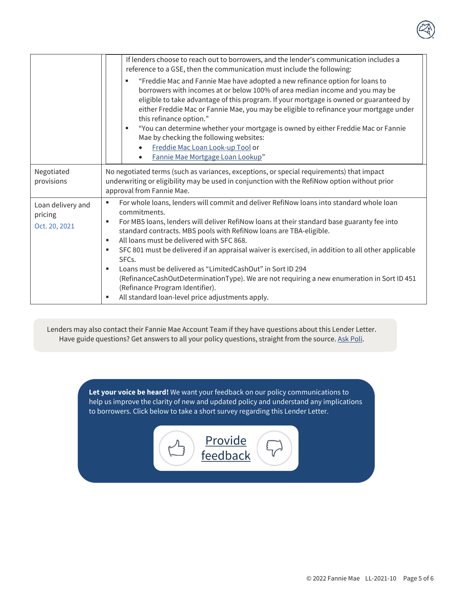|                                               | If lenders choose to reach out to borrowers, and the lender's communication includes a<br>reference to a GSE, then the communication must include the following:<br>"Freddie Mac and Fannie Mae have adopted a new refinance option for loans to<br>٠<br>borrowers with incomes at or below 100% of area median income and you may be<br>eligible to take advantage of this program. If your mortgage is owned or guaranteed by<br>either Freddie Mac or Fannie Mae, you may be eligible to refinance your mortgage under<br>this refinance option."<br>"You can determine whether your mortgage is owned by either Freddie Mac or Fannie<br>٠<br>Mae by checking the following websites:<br>Freddie Mac Loan Look-up Tool or<br>Fannie Mae Mortgage Loan Lookup" |  |
|-----------------------------------------------|-------------------------------------------------------------------------------------------------------------------------------------------------------------------------------------------------------------------------------------------------------------------------------------------------------------------------------------------------------------------------------------------------------------------------------------------------------------------------------------------------------------------------------------------------------------------------------------------------------------------------------------------------------------------------------------------------------------------------------------------------------------------|--|
| Negotiated<br>provisions                      | No negotiated terms (such as variances, exceptions, or special requirements) that impact<br>underwriting or eligibility may be used in conjunction with the RefiNow option without prior<br>approval from Fannie Mae.                                                                                                                                                                                                                                                                                                                                                                                                                                                                                                                                             |  |
| Loan delivery and<br>pricing<br>Oct. 20, 2021 | For whole loans, lenders will commit and deliver RefiNow loans into standard whole loan<br>٠<br>commitments.<br>For MBS loans, lenders will deliver RefiNow loans at their standard base guaranty fee into<br>٠<br>standard contracts. MBS pools with RefiNow loans are TBA-eligible.<br>All loans must be delivered with SFC 868.<br>٠<br>SFC 801 must be delivered if an appraisal waiver is exercised, in addition to all other applicable<br>٠<br>SFC <sub>s</sub> .<br>Loans must be delivered as "LimitedCashOut" in Sort ID 294<br>٠<br>(RefinanceCashOutDeterminationType). We are not requiring a new enumeration in Sort ID 451<br>(Refinance Program Identifier).<br>All standard loan-level price adjustments apply.                                  |  |

Lenders may also contact their Fannie Mae Account Team if they have questions about this Lender Letter. Have guide questions? Get answers to all your policy questions, straight from the source. Ask Poli.

> **Let your voice be heard!** We want your feedback on our policy communications to help us improve the clarity of new and updated policy and understand any implications to borrowers. Click below to take a short survey regarding this Lender Letter.